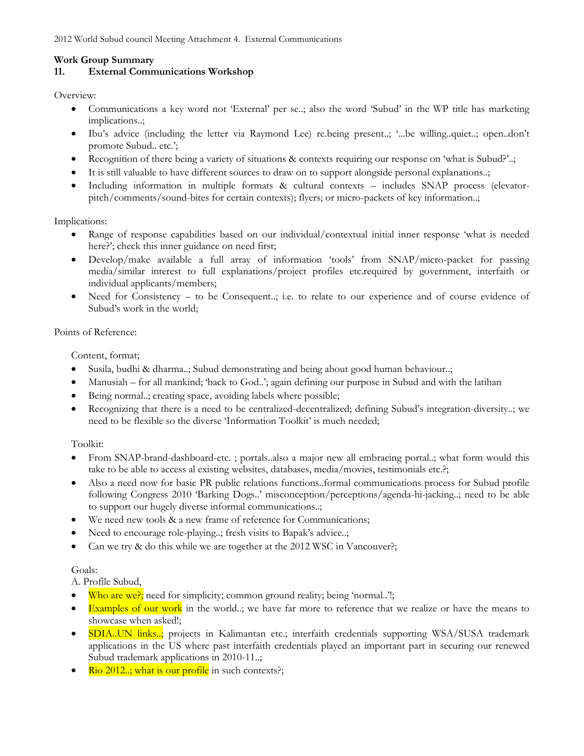## **Work Group Summary**

## **11. External Communications Workshop**

Overview:

- Communications a key word not 'External' per se..; also the word 'Subud' in the WP title has marketing implications..;
- Ibu's advice (including the letter via Raymond Lee) re.being present..; '...be willing..quiet..; open..don't promote Subud.. etc.';
- Recognition of there being a variety of situations & contexts requiring our response on 'what is Subud?'..;
- It is still valuable to have different sources to draw on to support alongside personal explanations..;
- Including information in multiple formats & cultural contexts includes SNAP process (elevatorpitch/comments/sound-bites for certain contexts); flyers; or micro-packets of key information..;

Implications:

- Range of response capabilities based on our individual/contextual initial inner response 'what is needed here?'; check this inner guidance on need first;
- Develop/make available a full array of information 'tools' from SNAP/micro-packet for passing media/similar interest to full explanations/project profiles etc.required by government, interfaith or individual applicants/members;
- Need for Consistency to be Consequent..; i.e. to relate to our experience and of course evidence of Subud's work in the world;

## Points of Reference:

Content, format;

- Susila, budhi & dharma..; Subud demonstrating and being about good human behaviour..;
- Manusiah for all mankind; 'back to God..'; again defining our purpose in Subud and with the latihan
- Being normal..; creating space, avoiding labels where possible;
- Recognizing that there is a need to be centralized-decentralized; defining Subud's integration-diversity..; we need to be flexible so the diverse 'Information Toolkit' is much needed;

Toolkit:

- From SNAP-brand-dashboard-etc. ; portals..also a major new all embracing portal..; what form would this take to be able to access al existing websites, databases, media/movies, testimonials etc.?;
- Also a need now for basic PR public relations functions..formal communications process for Subud profile following Congress 2010 'Barking Dogs..' misconception/perceptions/agenda-hi-jacking..; need to be able to support our hugely diverse informal communications..;
- We need new tools & a new frame of reference for Communications;
- Need to encourage role-playing..; fresh visits to Bapak's advice..;
- Can we try & do this while we are together at the 2012 WSC in Vancouver?;

## Goals:

A. Profile Subud,

- Who are we?; need for simplicity; common ground reality; being 'normal..'!;
- **Examples of our work** in the world..; we have far more to reference that we realize or have the means to showcase when asked!;
- SDIA..UN links..; projects in Kalimantan etc.; interfaith credentials supporting WSA/SUSA trademark applications in the US where past interfaith credentials played an important part in securing our renewed Subud trademark applications in 2010-11..;
- Rio 2012..; what is our profile in such contexts?;